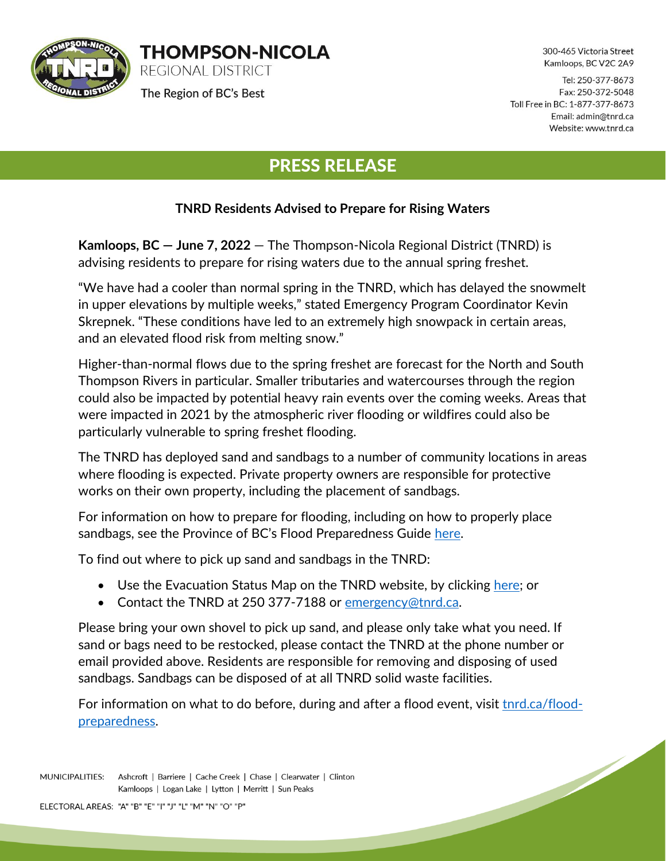

300-465 Victoria Street Kamloops, BC V2C 2A9

<u>Singlet Contract Contract Contract Contract Contract Contract Contract Contract Contract Contract Contract Contract Contract Contract Contract Contract Contract Contract Contract Contract Contract Contract Contract Contra</u>

Tel: 250-377-8673 Fax: 250-372-5048 Toll Free in BC: 1-877-377-8673 Email: admin@tnrd.ca Website: www.tnrd.ca

## PRESS RELEASE

## **TNRD Residents Advised to Prepare for Rising Waters**

**Kamloops, BC — June 7, 2022** — The Thompson-Nicola Regional District (TNRD) is advising residents to prepare for rising waters due to the annual spring freshet.

"We have had a cooler than normal spring in the TNRD, which has delayed the snowmelt in upper elevations by multiple weeks," stated Emergency Program Coordinator Kevin Skrepnek. "These conditions have led to an extremely high snowpack in certain areas, and an elevated flood risk from melting snow."

Higher-than-normal flows due to the spring freshet are forecast for the North and South Thompson Rivers in particular. Smaller tributaries and watercourses through the region could also be impacted by potential heavy rain events over the coming weeks. Areas that were impacted in 2021 by the atmospheric river flooding or wildfires could also be particularly vulnerable to spring freshet flooding.

The TNRD has deployed sand and sandbags to a number of community locations in areas where flooding is expected. Private property owners are responsible for protective works on their own property, including the placement of sandbags.

For information on how to prepare for flooding, including on how to properly place sandbags, see the Province of BC's Flood Preparedness Guide [here.](https://www2.gov.bc.ca/assets/gov/public-safety-and-emergency-services/emergency-preparedness-response-recovery/embc/preparedbc/preparedbc-guides/preparedbc_flood_preparedness_guide_fillable.pdf)

To find out where to pick up sand and sandbags in the TNRD:

**THOMPSON-NICOLA** 

REGIONAL DISTRICT

The Region of BC's Best

- Use the Evacuation Status Map on the TNRD website, by clicking [here;](https://www.arcgis.com/apps/dashboards/5815bca37239492c98e4324daf5f955d) or
- Contact the TNRD at 250 377-7188 or [emergency@tnrd.ca.](mailto:emergency@tnrd.ca)

Please bring your own shovel to pick up sand, and please only take what you need. If sand or bags need to be restocked, please contact the TNRD at the phone number or email provided above. Residents are responsible for removing and disposing of used sandbags. Sandbags can be disposed of at all TNRD solid waste facilities.

For information on what to do before, during and after a flood event, visit [tnrd.ca/flood](https://www.tnrd.ca/flood-preparedness/)[preparedness.](https://www.tnrd.ca/flood-preparedness/)

MUNICIPALITIES: Ashcroft | Barriere | Cache Creek | Chase | Clearwater | Clinton Kamloops | Logan Lake | Lytton | Merritt | Sun Peaks

ELECTORAL AREAS: "A" "B" "E" "I" "J" "L" "M" "N" "O" "P"